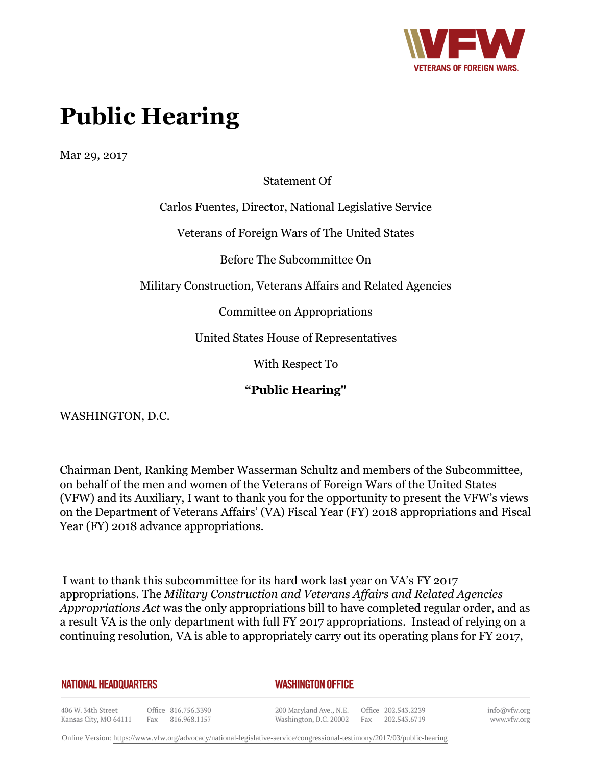

# **Public Hearing**

Mar 29, 2017

Statement Of

Carlos Fuentes, Director, National Legislative Service

Veterans of Foreign Wars of The United States

Before The Subcommittee On

Military Construction, Veterans Affairs and Related Agencies

Committee on Appropriations

United States House of Representatives

With Respect To

**"Public Hearing"**

WASHINGTON, D.C.

Chairman Dent, Ranking Member Wasserman Schultz and members of the Subcommittee, on behalf of the men and women of the Veterans of Foreign Wars of the United States (VFW) and its Auxiliary, I want to thank you for the opportunity to present the VFW's views on the Department of Veterans Affairs' (VA) Fiscal Year (FY) 2018 appropriations and Fiscal Year (FY) 2018 advance appropriations.

I want to thank this subcommittee for its hard work last year on VA's FY 2017 appropriations. The *Military Construction and Veterans Affairs and Related Agencies Appropriations Act* was the only appropriations bill to have completed regular order, and as a result VA is the only department with full FY 2017 appropriations. Instead of relying on a continuing resolution, VA is able to appropriately carry out its operating plans for FY 2017,

#### **NATIONAL HEADQUARTERS**

#### *WASHINGTON OFFICE*

406 W. 34th Street Office 816.756.3390 Fax 816.968.1157 Kansas City, MO 64111

200 Maryland Ave., N.E. Washington, D.C. 20002

Office 202.543.2239 Fax 202.543.6719 info@vfw.org www.vfw.org

Online Version:<https://www.vfw.org/advocacy/national-legislative-service/congressional-testimony/2017/03/public-hearing>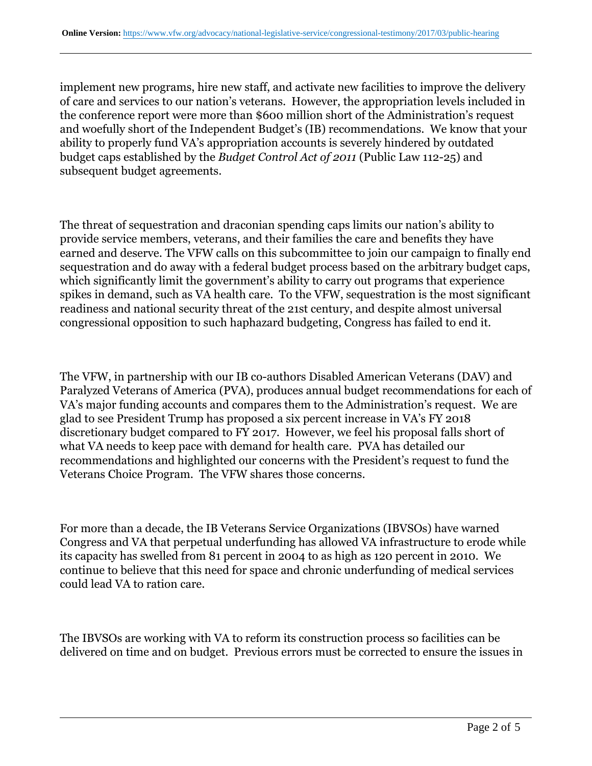implement new programs, hire new staff, and activate new facilities to improve the delivery of care and services to our nation's veterans. However, the appropriation levels included in the conference report were more than \$600 million short of the Administration's request and woefully short of the Independent Budget's (IB) recommendations. We know that your ability to properly fund VA's appropriation accounts is severely hindered by outdated budget caps established by the *Budget Control Act of 2011* (Public Law 112-25) and subsequent budget agreements.

The threat of sequestration and draconian spending caps limits our nation's ability to provide service members, veterans, and their families the care and benefits they have earned and deserve. The VFW calls on this subcommittee to join our campaign to finally end sequestration and do away with a federal budget process based on the arbitrary budget caps, which significantly limit the government's ability to carry out programs that experience spikes in demand, such as VA health care. To the VFW, sequestration is the most significant readiness and national security threat of the 21st century, and despite almost universal congressional opposition to such haphazard budgeting, Congress has failed to end it.

The VFW, in partnership with our IB co-authors Disabled American Veterans (DAV) and Paralyzed Veterans of America (PVA), produces annual budget recommendations for each of VA's major funding accounts and compares them to the Administration's request. We are glad to see President Trump has proposed a six percent increase in VA's FY 2018 discretionary budget compared to FY 2017. However, we feel his proposal falls short of what VA needs to keep pace with demand for health care. PVA has detailed our recommendations and highlighted our concerns with the President's request to fund the Veterans Choice Program. The VFW shares those concerns.

For more than a decade, the IB Veterans Service Organizations (IBVSOs) have warned Congress and VA that perpetual underfunding has allowed VA infrastructure to erode while its capacity has swelled from 81 percent in 2004 to as high as 120 percent in 2010. We continue to believe that this need for space and chronic underfunding of medical services could lead VA to ration care.

The IBVSOs are working with VA to reform its construction process so facilities can be delivered on time and on budget. Previous errors must be corrected to ensure the issues in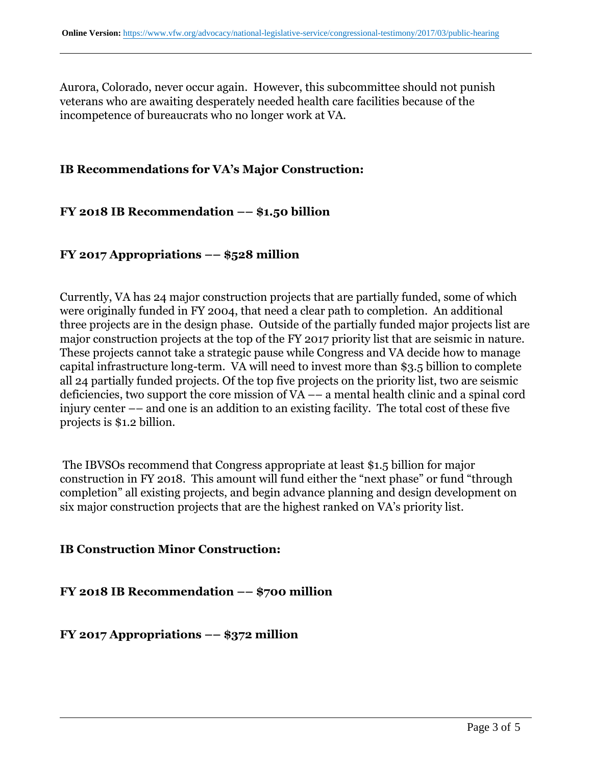Aurora, Colorado, never occur again. However, this subcommittee should not punish veterans who are awaiting desperately needed health care facilities because of the incompetence of bureaucrats who no longer work at VA.

### **IB Recommendations for VA's Major Construction:**

## **FY 2018 IB Recommendation –– \$1.50 billion**

### **FY 2017 Appropriations –– \$528 million**

Currently, VA has 24 major construction projects that are partially funded, some of which were originally funded in FY 2004, that need a clear path to completion. An additional three projects are in the design phase. Outside of the partially funded major projects list are major construction projects at the top of the FY 2017 priority list that are seismic in nature. These projects cannot take a strategic pause while Congress and VA decide how to manage capital infrastructure long-term. VA will need to invest more than \$3.5 billion to complete all 24 partially funded projects. Of the top five projects on the priority list, two are seismic deficiencies, two support the core mission of VA –– a mental health clinic and a spinal cord injury center –– and one is an addition to an existing facility. The total cost of these five projects is \$1.2 billion.

The IBVSOs recommend that Congress appropriate at least \$1.5 billion for major construction in FY 2018. This amount will fund either the "next phase" or fund "through completion" all existing projects, and begin advance planning and design development on six major construction projects that are the highest ranked on VA's priority list.

### **IB Construction Minor Construction:**

**FY 2018 IB Recommendation –– \$700 million**

**FY 2017 Appropriations –– \$372 million**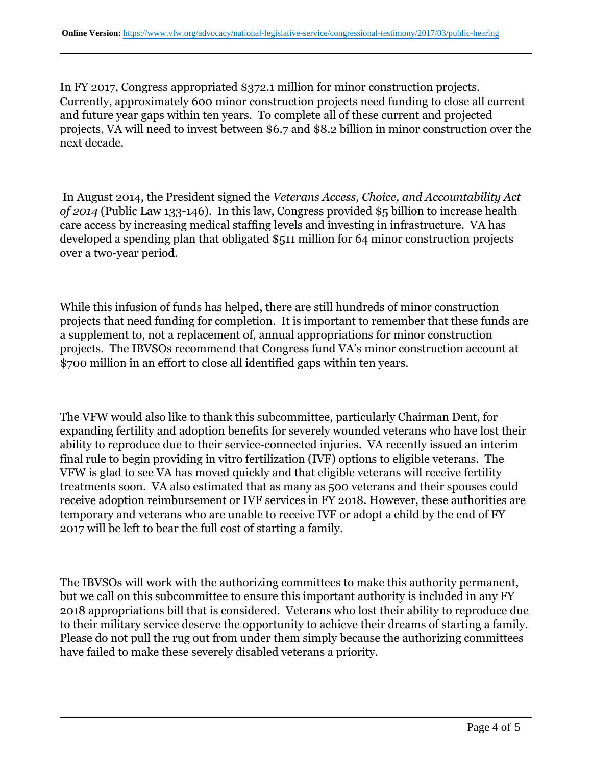In FY 2017, Congress appropriated \$372.1 million for minor construction projects. Currently, approximately 600 minor construction projects need funding to close all current and future year gaps within ten years. To complete all of these current and projected projects, VA will need to invest between \$6.7 and \$8.2 billion in minor construction over the next decade.

In August 2014, the President signed the *Veterans Access, Choice, and Accountability Act of 2014* (Public Law 133-146). In this law, Congress provided \$5 billion to increase health care access by increasing medical staffing levels and investing in infrastructure. VA has developed a spending plan that obligated \$511 million for 64 minor construction projects over a two-year period.

While this infusion of funds has helped, there are still hundreds of minor construction projects that need funding for completion. It is important to remember that these funds are a supplement to, not a replacement of, annual appropriations for minor construction projects. The IBVSOs recommend that Congress fund VA's minor construction account at \$700 million in an effort to close all identified gaps within ten years.

The VFW would also like to thank this subcommittee, particularly Chairman Dent, for expanding fertility and adoption benefits for severely wounded veterans who have lost their ability to reproduce due to their service-connected injuries. VA recently issued an interim final rule to begin providing in vitro fertilization (IVF) options to eligible veterans. The VFW is glad to see VA has moved quickly and that eligible veterans will receive fertility treatments soon. VA also estimated that as many as 500 veterans and their spouses could receive adoption reimbursement or IVF services in FY 2018. However, these authorities are temporary and veterans who are unable to receive IVF or adopt a child by the end of FY 2017 will be left to bear the full cost of starting a family.

The IBVSOs will work with the authorizing committees to make this authority permanent, but we call on this subcommittee to ensure this important authority is included in any FY 2018 appropriations bill that is considered. Veterans who lost their ability to reproduce due to their military service deserve the opportunity to achieve their dreams of starting a family. Please do not pull the rug out from under them simply because the authorizing committees have failed to make these severely disabled veterans a priority.